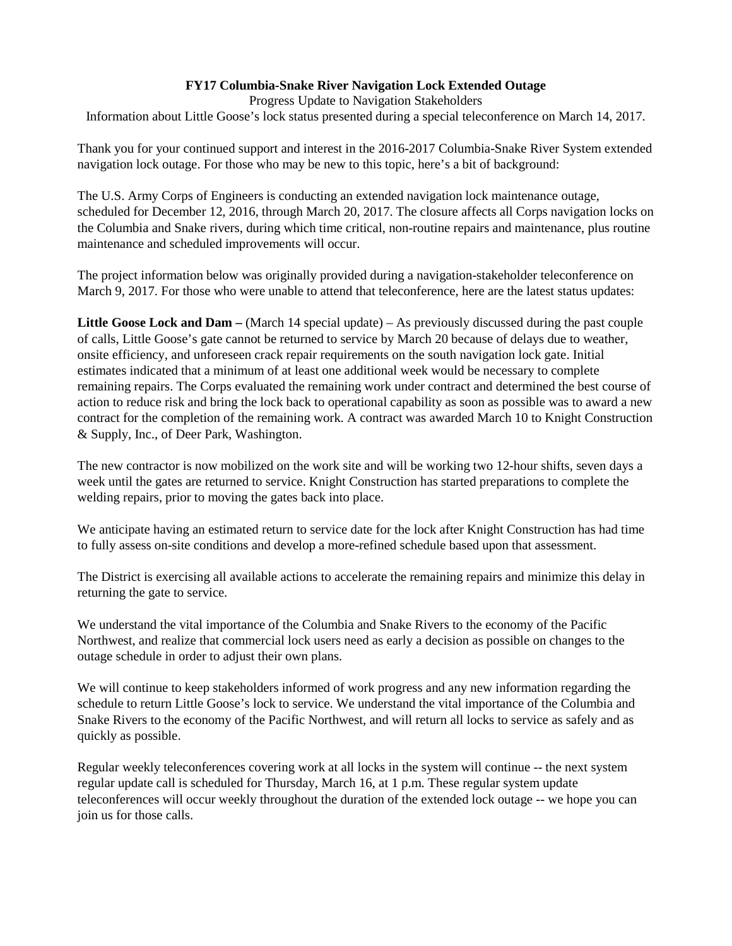## **FY17 Columbia-Snake River Navigation Lock Extended Outage**

Progress Update to Navigation Stakeholders

Information about Little Goose's lock status presented during a special teleconference on March 14, 2017.

Thank you for your continued support and interest in the 2016-2017 Columbia-Snake River System extended navigation lock outage. For those who may be new to this topic, here's a bit of background:

The U.S. Army Corps of Engineers is conducting an extended navigation lock maintenance outage, scheduled for December 12, 2016, through March 20, 2017. The closure affects all Corps navigation locks on the Columbia and Snake rivers, during which time critical, non-routine repairs and maintenance, plus routine maintenance and scheduled improvements will occur.

The project information below was originally provided during a navigation-stakeholder teleconference on March 9, 2017. For those who were unable to attend that teleconference, here are the latest status updates:

**Little Goose Lock and Dam –** (March 14 special update) – As previously discussed during the past couple of calls, Little Goose's gate cannot be returned to service by March 20 because of delays due to weather, onsite efficiency, and unforeseen crack repair requirements on the south navigation lock gate. Initial estimates indicated that a minimum of at least one additional week would be necessary to complete remaining repairs. The Corps evaluated the remaining work under contract and determined the best course of action to reduce risk and bring the lock back to operational capability as soon as possible was to award a new contract for the completion of the remaining work. A contract was awarded March 10 to Knight Construction & Supply, Inc., of Deer Park, Washington.

The new contractor is now mobilized on the work site and will be working two 12-hour shifts, seven days a week until the gates are returned to service. Knight Construction has started preparations to complete the welding repairs, prior to moving the gates back into place.

We anticipate having an estimated return to service date for the lock after Knight Construction has had time to fully assess on-site conditions and develop a more-refined schedule based upon that assessment.

The District is exercising all available actions to accelerate the remaining repairs and minimize this delay in returning the gate to service.

We understand the vital importance of the Columbia and Snake Rivers to the economy of the Pacific Northwest, and realize that commercial lock users need as early a decision as possible on changes to the outage schedule in order to adjust their own plans.

We will continue to keep stakeholders informed of work progress and any new information regarding the schedule to return Little Goose's lock to service. We understand the vital importance of the Columbia and Snake Rivers to the economy of the Pacific Northwest, and will return all locks to service as safely and as quickly as possible.

Regular weekly teleconferences covering work at all locks in the system will continue -- the next system regular update call is scheduled for Thursday, March 16, at 1 p.m. These regular system update teleconferences will occur weekly throughout the duration of the extended lock outage -- we hope you can join us for those calls.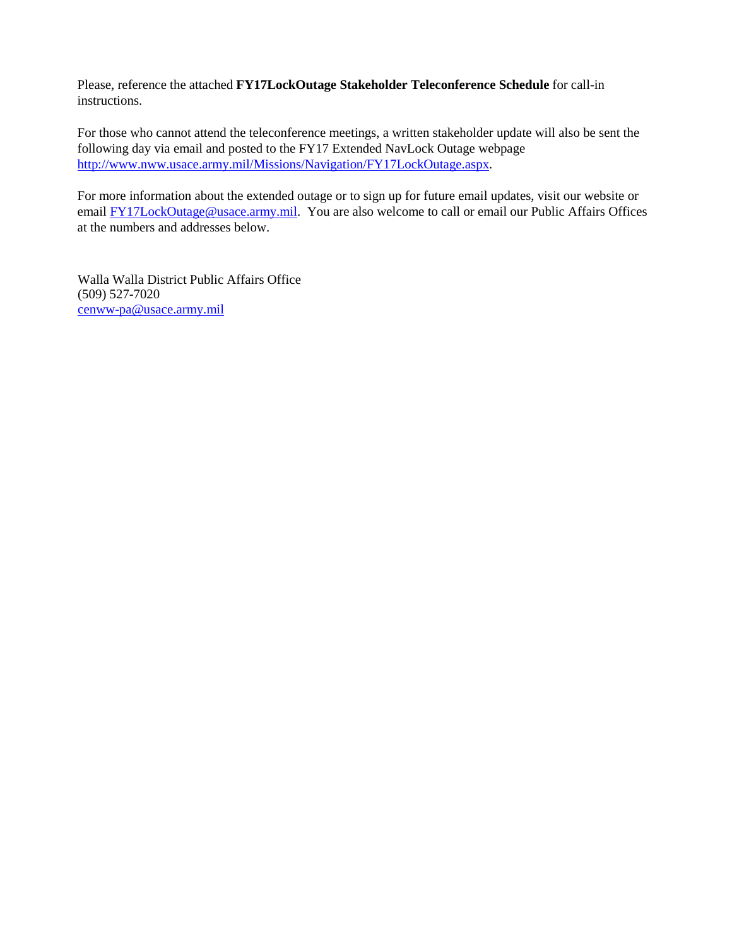Please, reference the attached **FY17LockOutage Stakeholder Teleconference Schedule** for call-in instructions.

For those who cannot attend the teleconference meetings, a written stakeholder update will also be sent the following day via email and posted to the FY17 Extended NavLock Outage webpage [http://www.nww.usace.army.mil/Missions/Navigation/FY17LockOutage.aspx.](http://www.nww.usace.army.mil/Missions/Navigation/FY17LockOutage.aspx)

For more information about the extended outage or to sign up for future email updates, visit our website or email **FY17LockOutage@usace.army.mil.** You are also welcome to call or email our Public Affairs Offices at the numbers and addresses below.

Walla Walla District Public Affairs Office (509) 527-7020 [cenww-pa@usace.army.mil](mailto:cenww-pa@usace.army.mil)